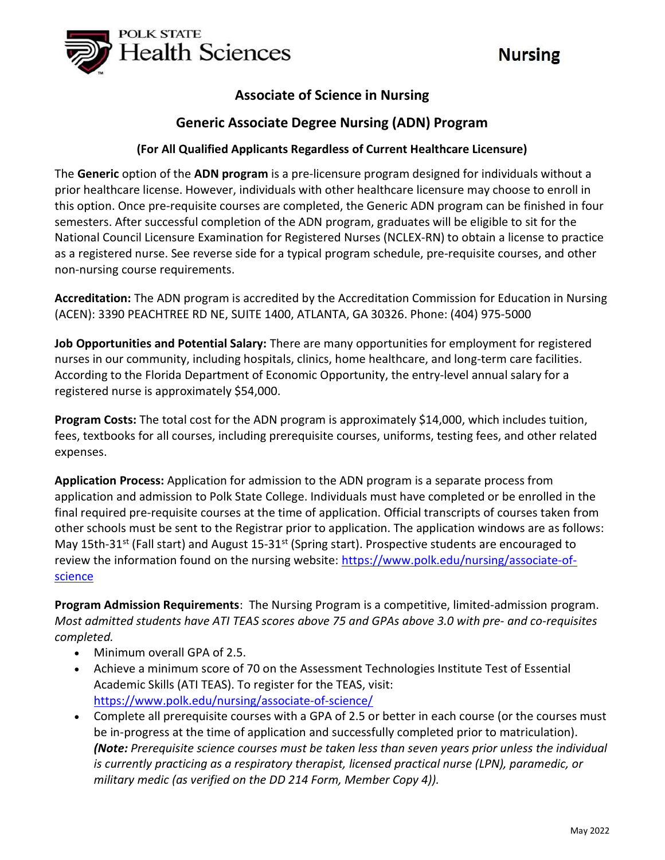

# **Nursing**

## Associate of Science in Nursing

## Generic Associate Degree Nursing (ADN) Program

### (For All Qualified Applicants Regardless of Current Healthcare Licensure)

The Generic option of the ADN program is a pre-licensure program designed for individuals without a prior healthcare license. However, individuals with other healthcare licensure may choose to enroll in this option. Once pre-requisite courses are completed, the Generic ADN program can be finished in four semesters. After successful completion of the ADN program, graduates will be eligible to sit for the National Council Licensure Examination for Registered Nurses (NCLEX-RN) to obtain a license to practice as a registered nurse. See reverse side for a typical program schedule, pre-requisite courses, and other non-nursing course requirements.

Accreditation: The ADN program is accredited by the Accreditation Commission for Education in Nursing (ACEN): 3390 PEACHTREE RD NE, SUITE 1400, ATLANTA, GA 30326. Phone: (404) 975-5000

Job Opportunities and Potential Salary: There are many opportunities for employment for registered nurses in our community, including hospitals, clinics, home healthcare, and long-term care facilities. According to the Florida Department of Economic Opportunity, the entry-level annual salary for a registered nurse is approximately \$54,000.

Program Costs: The total cost for the ADN program is approximately \$14,000, which includes tuition, fees, textbooks for all courses, including prerequisite courses, uniforms, testing fees, and other related expenses.

Application Process: Application for admission to the ADN program is a separate process from application and admission to Polk State College. Individuals must have completed or be enrolled in the final required pre-requisite courses at the time of application. Official transcripts of courses taken from other schools must be sent to the Registrar prior to application. The application windows are as follows: May 15th-31st (Fall start) and August 15-31st (Spring start). Prospective students are encouraged to review the information found on the nursing website: https://www.polk.edu/nursing/associate-ofscience

Program Admission Requirements: The Nursing Program is a competitive, limited-admission program. Most admitted students have ATI TEAS scores above 75 and GPAs above 3.0 with pre- and co-requisites completed.

- Minimum overall GPA of 2.5.
- Achieve a minimum score of 70 on the Assessment Technologies Institute Test of Essential Academic Skills (ATI TEAS). To register for the TEAS, visit: https://www.polk.edu/nursing/associate-of-science/
- Complete all prerequisite courses with a GPA of 2.5 or better in each course (or the courses must be in-progress at the time of application and successfully completed prior to matriculation). (Note: Prerequisite science courses must be taken less than seven years prior unless the individual is currently practicing as a respiratory therapist, licensed practical nurse (LPN), paramedic, or military medic (as verified on the DD 214 Form, Member Copy 4)).